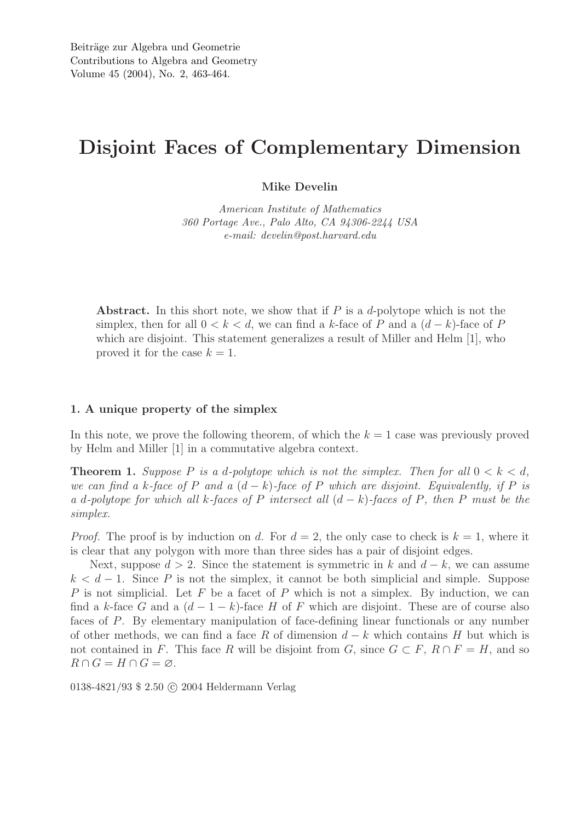## Disjoint Faces of Complementary Dimension

Mike Develin

*American Institute of Mathematics 360 Portage Ave., Palo Alto, CA 94306-2244 USA e-mail: develin@post.harvard.edu*

Abstract. In this short note, we show that if  $P$  is a d-polytope which is not the simplex, then for all  $0 < k < d$ , we can find a k-face of P and a  $(d - k)$ -face of P which are disjoint. This statement generalizes a result of Miller and Helm [1], who proved it for the case  $k = 1$ .

## 1. A unique property of the simplex

In this note, we prove the following theorem, of which the  $k = 1$  case was previously proved by Helm and Miller [1] in a commutative algebra context.

**Theorem 1.** Suppose P is a d-polytope which is not the simplex. Then for all  $0 < k < d$ , *we can find a* k-face of P and a  $(d - k)$ -face of P which are disjoint. Equivalently, if P is *a* d*-polytope for which all* k*-faces of* P *intersect all* (d − k)*-faces of* P*, then* P *must be the simplex.*

*Proof.* The proof is by induction on d. For  $d = 2$ , the only case to check is  $k = 1$ , where it is clear that any polygon with more than three sides has a pair of disjoint edges.

Next, suppose  $d > 2$ . Since the statement is symmetric in k and  $d - k$ , we can assume  $k < d-1$ . Since P is not the simplex, it cannot be both simplicial and simple. Suppose  $P$  is not simplicial. Let  $F$  be a facet of  $P$  which is not a simplex. By induction, we can find a k-face G and a  $(d-1-k)$ -face H of F which are disjoint. These are of course also faces of P. By elementary manipulation of face-defining linear functionals or any number of other methods, we can find a face R of dimension  $d - k$  which contains H but which is not contained in F. This face R will be disjoint from G, since  $G \subset F$ ,  $R \cap F = H$ , and so  $R \cap G = H \cap G = \emptyset.$ 

0138-4821/93 \$ 2.50 © 2004 Heldermann Verlag